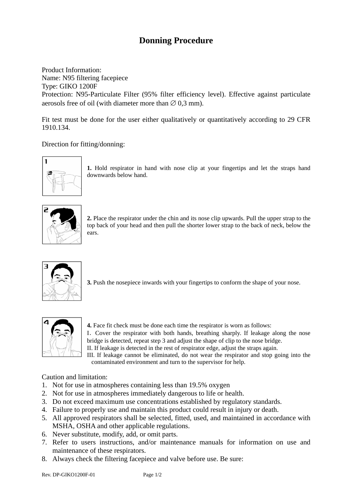## **Donning Procedure**

Product Information: Name: N95 filtering facepiece Type: GIKO 1200F Protection: N95-Particulate Filter (95% filter efficiency level). Effective against particulate aerosols free of oil (with diameter more than  $\varnothing$  0,3 mm).

Fit test must be done for the user either qualitatively or quantitatively according to 29 CFR 1910.134.

## Direction for fitting/donning:



**1.** Hold respirator in hand with nose clip at your fingertips and let the straps hand downwards below hand.



**2.** Place the respirator under the chin and its nose clip upwards. Pull the upper strap to the top back of your head and then pull the shorter lower strap to the back of neck, below the ears.



**3.** Push the nosepiece inwards with your fingertips to conform the shape of your nose.



**4.** Face fit check must be done each time the respirator is worn as follows: I.Cover the respirator with both hands, breathing sharply. If leakage along the nose bridge is detected, repeat step 3 and adjust the shape of clip to the nose bridge. II. If leakage is detected in the rest of respirator edge, adjust the straps again.

III. If leakage cannot be eliminated, do not wear the respirator and stop going into the contaminated environment and turn to the supervisor for help.

## Caution and limitation:

- 1. Not for use in atmospheres containing less than 19.5% oxygen
- 2. Not for use in atmospheres immediately dangerous to life or health.
- 3. Do not exceed maximum use concentrations established by regulatory standards.
- 4. Failure to properly use and maintain this product could result in injury or death.
- 5. All approved respirators shall be selected, fitted, used, and maintained in accordance with MSHA, OSHA and other applicable regulations.
- 6. Never substitute, modify, add, or omit parts.
- 7. Refer to users instructions, and/or maintenance manuals for information on use and maintenance of these respirators.
- 8. Always check the filtering facepiece and valve before use. Be sure: